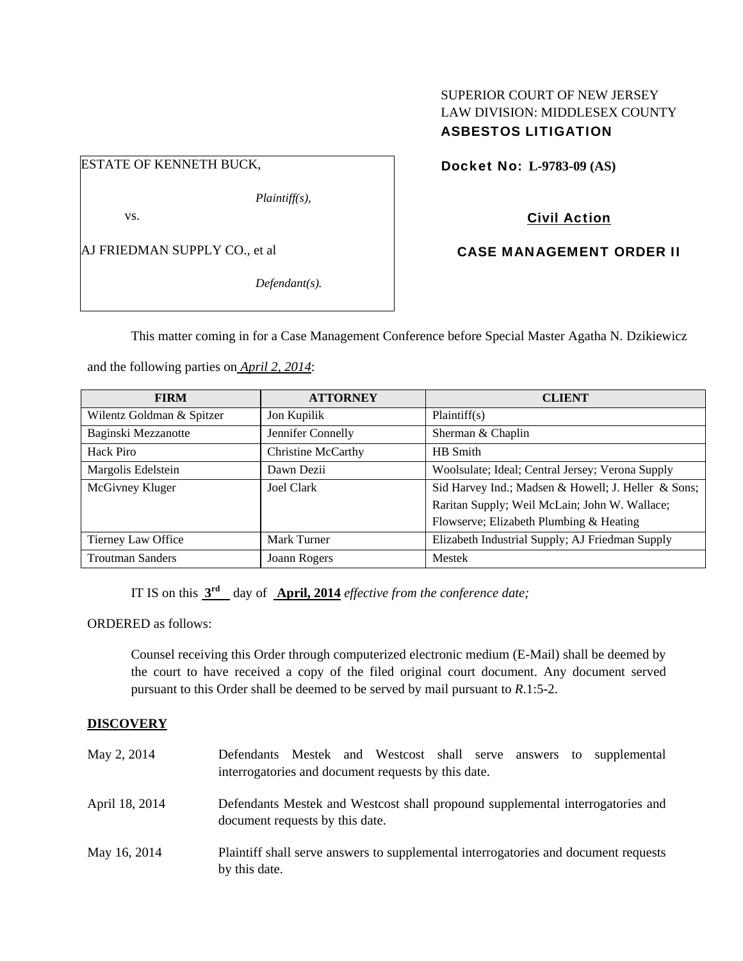### SUPERIOR COURT OF NEW JERSEY LAW DIVISION: MIDDLESEX COUNTY ASBESTOS LITIGATION

## ESTATE OF KENNETH BUCK,

*Plaintiff(s),* 

vs.

AJ FRIEDMAN SUPPLY CO., et al

*Defendant(s).* 

Docket No: **L-9783-09 (AS)** 

## Civil Action

CASE MANAGEMENT ORDER II

This matter coming in for a Case Management Conference before Special Master Agatha N. Dzikiewicz

and the following parties on *April 2, 2014*:

| <b>FIRM</b>               | <b>ATTORNEY</b>    | <b>CLIENT</b>                                       |
|---------------------------|--------------------|-----------------------------------------------------|
| Wilentz Goldman & Spitzer | Jon Kupilik        | Plaintiff(s)                                        |
| Baginski Mezzanotte       | Jennifer Connelly  | Sherman & Chaplin                                   |
| Hack Piro                 | Christine McCarthy | HB Smith                                            |
| Margolis Edelstein        | Dawn Dezii         | Woolsulate; Ideal; Central Jersey; Verona Supply    |
| McGivney Kluger           | Joel Clark         | Sid Harvey Ind.; Madsen & Howell; J. Heller & Sons; |
|                           |                    | Raritan Supply; Weil McLain; John W. Wallace;       |
|                           |                    | Flowserve; Elizabeth Plumbing & Heating             |
| Tierney Law Office        | Mark Turner        | Elizabeth Industrial Supply; AJ Friedman Supply     |
| <b>Troutman Sanders</b>   | Joann Rogers       | Mestek                                              |

IT IS on this **3rd** day of **April, 2014** *effective from the conference date;*

ORDERED as follows:

Counsel receiving this Order through computerized electronic medium (E-Mail) shall be deemed by the court to have received a copy of the filed original court document. Any document served pursuant to this Order shall be deemed to be served by mail pursuant to *R*.1:5-2.

### **DISCOVERY**

| May 2, 2014    | Defendants Mestek and Westcost shall serve answers<br>supplemental<br>to<br>interrogatories and document requests by this date. |
|----------------|---------------------------------------------------------------------------------------------------------------------------------|
| April 18, 2014 | Defendants Mestek and Westcost shall propound supplemental interrogatories and<br>document requests by this date.               |
| May 16, 2014   | Plaintiff shall serve answers to supplemental interrogatories and document requests<br>by this date.                            |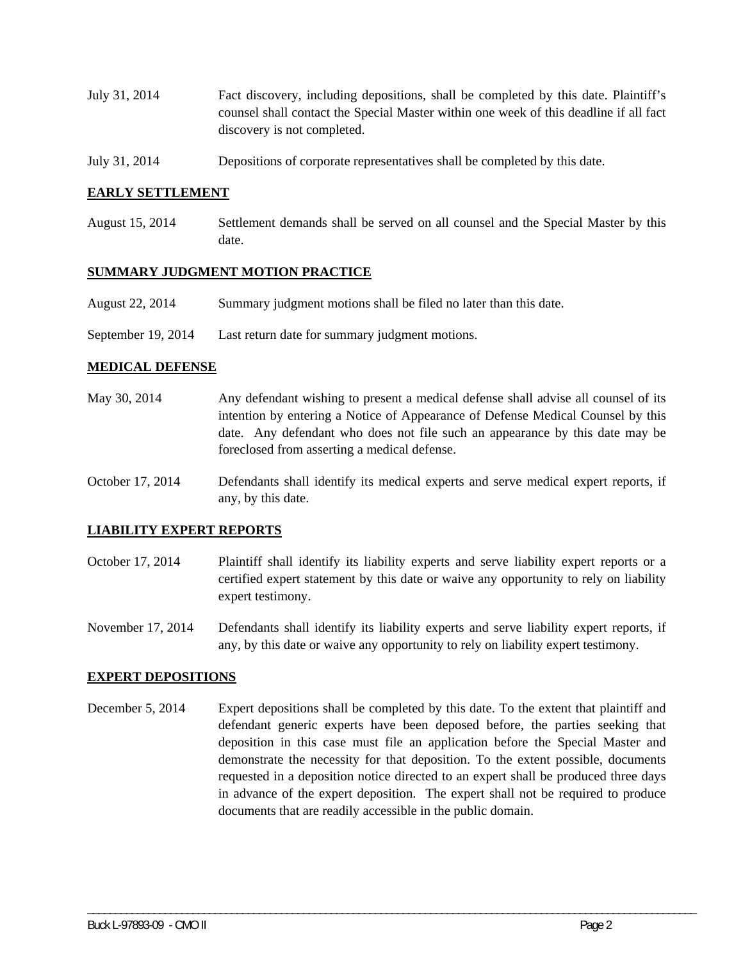- July 31, 2014 Fact discovery, including depositions, shall be completed by this date. Plaintiff's counsel shall contact the Special Master within one week of this deadline if all fact discovery is not completed.
- July 31, 2014 Depositions of corporate representatives shall be completed by this date.

#### **EARLY SETTLEMENT**

August 15, 2014 Settlement demands shall be served on all counsel and the Special Master by this date.

#### **SUMMARY JUDGMENT MOTION PRACTICE**

- August 22, 2014 Summary judgment motions shall be filed no later than this date.
- September 19, 2014 Last return date for summary judgment motions.

#### **MEDICAL DEFENSE**

- May 30, 2014 Any defendant wishing to present a medical defense shall advise all counsel of its intention by entering a Notice of Appearance of Defense Medical Counsel by this date. Any defendant who does not file such an appearance by this date may be foreclosed from asserting a medical defense.
- October 17, 2014 Defendants shall identify its medical experts and serve medical expert reports, if any, by this date.

#### **LIABILITY EXPERT REPORTS**

October 17, 2014 Plaintiff shall identify its liability experts and serve liability expert reports or a certified expert statement by this date or waive any opportunity to rely on liability expert testimony.

November 17, 2014 Defendants shall identify its liability experts and serve liability expert reports, if any, by this date or waive any opportunity to rely on liability expert testimony.

#### **EXPERT DEPOSITIONS**

December 5, 2014 Expert depositions shall be completed by this date. To the extent that plaintiff and defendant generic experts have been deposed before, the parties seeking that deposition in this case must file an application before the Special Master and demonstrate the necessity for that deposition. To the extent possible, documents requested in a deposition notice directed to an expert shall be produced three days in advance of the expert deposition. The expert shall not be required to produce documents that are readily accessible in the public domain.

\_\_\_\_\_\_\_\_\_\_\_\_\_\_\_\_\_\_\_\_\_\_\_\_\_\_\_\_\_\_\_\_\_\_\_\_\_\_\_\_\_\_\_\_\_\_\_\_\_\_\_\_\_\_\_\_\_\_\_\_\_\_\_\_\_\_\_\_\_\_\_\_\_\_\_\_\_\_\_\_\_\_\_\_\_\_\_\_\_\_\_\_\_\_\_\_\_\_\_\_\_\_\_\_\_\_\_\_\_\_